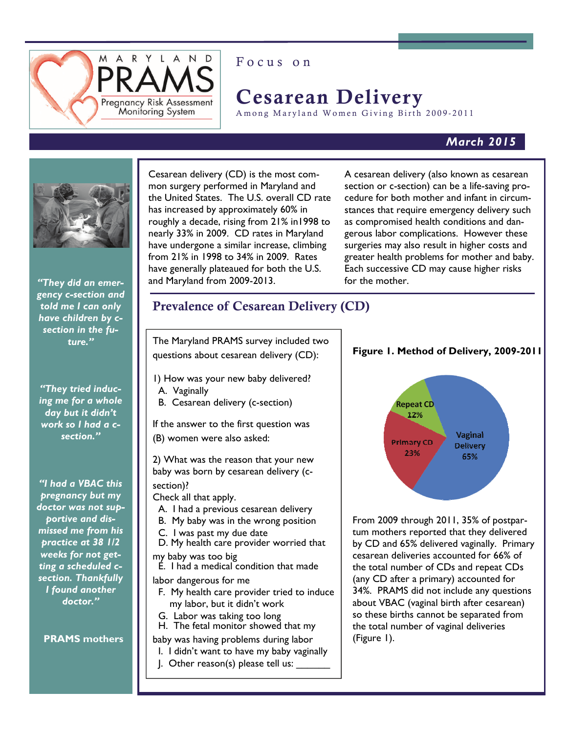

## Focus on

# Cesarean Delivery

Among Maryland Women Giving Birth 2009-2011

### *March 2015*



*"They did an emergency c-section and told me I can only have children by csection in the future."* 

*"They tried inducing me for a whole day but it didn't work so I had a csection."* 

*"I had a VBAC this pregnancy but my doctor was not supportive and dismissed me from his practice at 38 1/2 weeks for not getting a scheduled csection. Thankfully I found another doctor."*

**PRAMS mothers**

 Cesarean delivery (CD) is the most common surgery performed in Maryland and the United States. The U.S. overall CD rate has increased by approximately 60% in roughly a decade, rising from 21% in1998 to nearly 33% in 2009. CD rates in Maryland have undergone a similar increase, climbing from 21% in 1998 to 34% in 2009. Rates have generally plateaued for both the U.S. and Maryland from 2009-2013.

A cesarean delivery (also known as cesarean section or c-section) can be a life-saving procedure for both mother and infant in circumstances that require emergency delivery such as compromised health conditions and dangerous labor complications. However these surgeries may also result in higher costs and greater health problems for mother and baby. Each successive CD may cause higher risks for the mother.

## Prevalence of Cesarean Delivery (CD)

The Maryland PRAMS survey included two questions about cesarean delivery (CD):

- 1) How was your new baby delivered? A. Vaginally
- B. Cesarean delivery (c-section)

If the answer to the first question was (B) women were also asked:

2) What was the reason that your new baby was born by cesarean delivery (csection)?

Check all that apply.

- A. I had a previous cesarean delivery
- B. My baby was in the wrong position
- C. I was past my due date
- D. My health care provider worried that my baby was too big
- E. I had a medical condition that made
- labor dangerous for me
	- F. My health care provider tried to induce my labor, but it didn't work
- G. Labor was taking too long
- H. The fetal monitor showed that my
- baby was having problems during labor
- I. I didn't want to have my baby vaginally
- $\blacksquare$  Other reason(s) please tell us:

**Figure 1. Method of Delivery, 2009-2011** 



From 2009 through 2011, 35% of postpartum mothers reported that they delivered by CD and 65% delivered vaginally. Primary cesarean deliveries accounted for 66% of the total number of CDs and repeat CDs (any CD after a primary) accounted for 34%. PRAMS did not include any questions about VBAC (vaginal birth after cesarean) so these births cannot be separated from the total number of vaginal deliveries (Figure 1).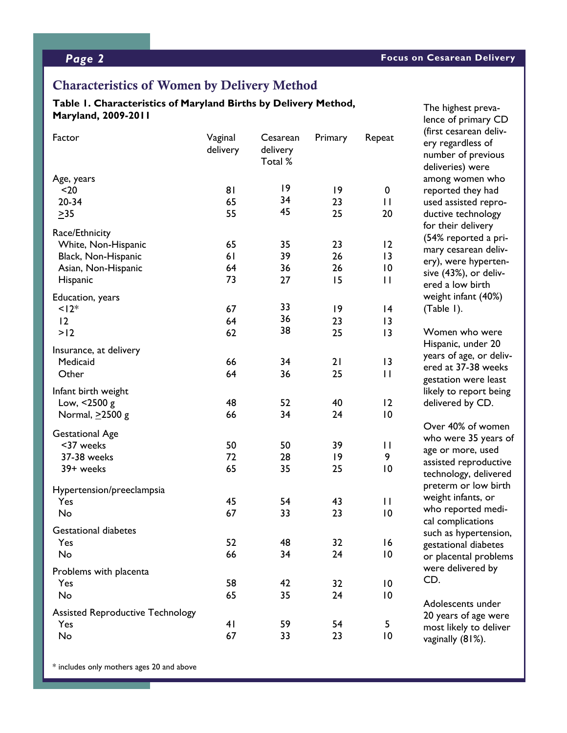The highest prevalence of primary CD

### Characteristics of Women by Delivery Method

### **Table 1. Characteristics of Maryland Births by Delivery Method, Maryland, 2009-2011**

| Factor                                  | Vaginal<br>delivery | Cesarean<br>delivery<br>Total % | Primary | Repeat          | (first cesarean deliv-<br>ery regardless of<br>number of previous<br>deliveries) were |
|-----------------------------------------|---------------------|---------------------------------|---------|-----------------|---------------------------------------------------------------------------------------|
| Age, years                              |                     | 9                               |         |                 | among women who                                                                       |
| $20$                                    | 81                  | 34                              | 9       | 0               | reported they had                                                                     |
| $20 - 34$                               | 65                  | 45                              | 23      | $\mathbf{I}$    | used assisted repro-                                                                  |
| $\geq$ 35                               | 55                  |                                 | 25      | 20              | ductive technology                                                                    |
| Race/Ethnicity                          |                     |                                 |         |                 | for their delivery                                                                    |
| White, Non-Hispanic                     | 65                  | 35                              | 23      | 12              | (54% reported a pri-                                                                  |
| Black, Non-Hispanic                     | 61                  | 39                              | 26      | 3               | mary cesarean deliv-                                                                  |
| Asian, Non-Hispanic                     | 64                  | 36                              | 26      | 10              | ery), were hyperten-                                                                  |
| Hispanic                                | 73                  | 27                              | 15      | $\mathbf{H}$    | sive (43%), or deliv-                                                                 |
|                                         |                     |                                 |         |                 | ered a low birth                                                                      |
| Education, years                        |                     |                                 |         |                 | weight infant (40%)                                                                   |
| $12*$                                   | 67                  | 33                              | 9       | 4               | (Table 1).                                                                            |
| 12                                      | 64                  | 36                              | 23      | 3               |                                                                                       |
| >12                                     | 62                  | 38                              | 25      | 13              | Women who were                                                                        |
| Insurance, at delivery                  |                     |                                 |         |                 | Hispanic, under 20                                                                    |
| Medicaid                                | 66                  | 34                              | 21      | 13              | years of age, or deliv                                                                |
| Other                                   | 64                  | 36                              | 25      | $\mathbf{H}$    | ered at 37-38 weeks                                                                   |
|                                         |                     |                                 |         |                 | gestation were least                                                                  |
| Infant birth weight                     |                     |                                 |         |                 | likely to report being                                                                |
| Low, <2500 g                            | 48                  | 52                              | 40      | 12              | delivered by CD.                                                                      |
| Normal, ≥2500 g                         | 66                  | 34                              | 24      | $\overline{10}$ |                                                                                       |
| <b>Gestational Age</b>                  |                     |                                 |         |                 | Over 40% of women                                                                     |
| <37 weeks                               | 50                  | 50                              | 39      | $\mathbf{I}$    | who were 35 years of                                                                  |
| 37-38 weeks                             | 72                  | 28                              | 9       | 9               | age or more, used                                                                     |
| 39+ weeks                               | 65                  | 35                              | 25      | 10              | assisted reproductive                                                                 |
|                                         |                     |                                 |         |                 | technology, delivered                                                                 |
| Hypertension/preeclampsia               |                     |                                 |         |                 | preterm or low birth                                                                  |
| Yes                                     | 45                  | 54                              | 43      | $\mathbf{L}$    | weight infants, or                                                                    |
| No                                      | 67                  | 33                              | 23      | 10              | who reported medi-                                                                    |
|                                         |                     |                                 |         |                 | cal complications                                                                     |
| <b>Gestational diabetes</b>             |                     |                                 |         |                 | such as hypertension                                                                  |
| Yes                                     | 52                  | 48                              | 32      | 16              | gestational diabetes                                                                  |
| No                                      | 66                  | 34                              | 24      | $\overline{10}$ | or placental problem                                                                  |
| Problems with placenta                  |                     |                                 |         |                 | were delivered by                                                                     |
| Yes                                     | 58                  | 42                              | 32      | $\overline{10}$ | CD.                                                                                   |
| No                                      | 65                  | 35                              | 24      | 10              |                                                                                       |
|                                         |                     |                                 |         |                 | Adolescents under                                                                     |
| <b>Assisted Reproductive Technology</b> |                     |                                 |         |                 | 20 years of age were                                                                  |
| Yes                                     | 41                  | 59                              | 54      | 5               | most likely to deliver                                                                |
| No                                      | 67                  | 33                              | 23      | $\overline{10}$ | vaginally (81%).                                                                      |

lless of f previous were men who they had ted reprochnology felivery rted a prirean delivhyperten-, or delivv birth ant (40%) vho were under 20 ge, or deliv-5-38 weeks were least eport being by CD.

of women 35 years of ore, used aproductive y, delivered or low birth ants, or rted mediications pertension, l diabetes al problems ered by

\* includes only mothers ages 20 and above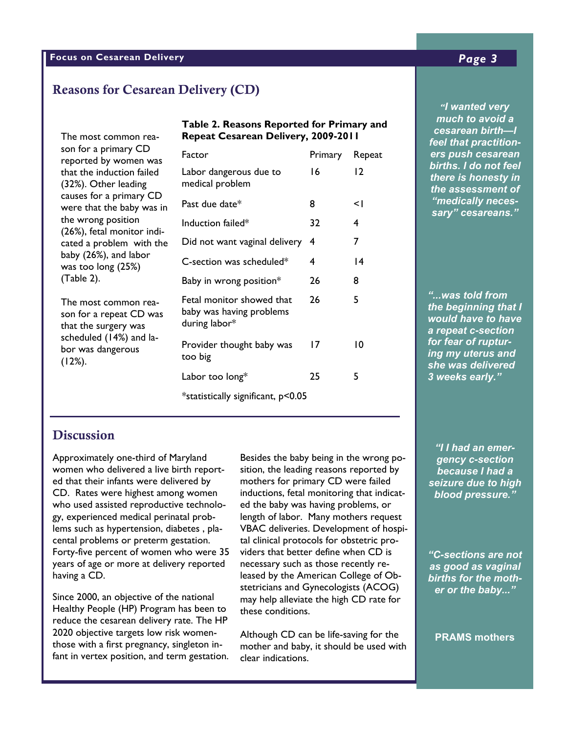### **Focus on Cesarean Delivery** *Page 3*

## Reasons for Cesarean Delivery (CD)

son for a primary CD reported by women was that the induction failed (32%). Other leading causes for a primary CD were that the baby was in the wrong position (26%), fetal monitor indicated a problem with the baby (26%), and labor was too long (25%) (Table 2).

The most common reason for a repeat CD was that the surgery was scheduled (14%) and labor was dangerous  $(12%)$ .

#### **b able 1 able 1 b n a** *nuch* **Table 2. Reasons Reported for Primary and**  $\overline{a}$ The most common rea- **Repeat Cesarean Delivery, 2009-2011**

|                                                                        |         |        | r <del>cer urac pracuuon-</del>                                                                                                  |  |  |
|------------------------------------------------------------------------|---------|--------|----------------------------------------------------------------------------------------------------------------------------------|--|--|
| Factor                                                                 | Primary | Repeat | ers push cesarean<br>births. I do not feel<br>there is honesty in<br>the assessment of<br>"medically neces-<br>sary" cesareans." |  |  |
| Labor dangerous due to<br>medical problem                              | 16      | 12     |                                                                                                                                  |  |  |
| Past due date*                                                         | 8       | $\leq$ |                                                                                                                                  |  |  |
| Induction failed*                                                      | 32      | 4      |                                                                                                                                  |  |  |
| Did not want vaginal delivery                                          | 4       | 7      |                                                                                                                                  |  |  |
| C-section was scheduled*                                               | 4       | 14     |                                                                                                                                  |  |  |
| Baby in wrong position*                                                | 26      | 8      |                                                                                                                                  |  |  |
| Fetal monitor showed that<br>baby was having problems<br>during labor* | 26      | 5      | "was told from<br>the beginning that I<br>would have to have<br>a repeat c-section                                               |  |  |
| Provider thought baby was<br>too big                                   | 17      | 10     | for fear of ruptur-<br>ing my uterus and<br>she was delivered                                                                    |  |  |
| Labor too long*                                                        | 25      | 5      | 3 weeks early."                                                                                                                  |  |  |
| *statistically significant, p<0.05                                     |         |        |                                                                                                                                  |  |  |

**Pregnancy**  *ers push cesarean*  % (95% CI) % (95% CI) *there is honesty in "I wanted very much to avoid a cesarean birth—I feel that practitionbirths. I do not feel the assessment of "medically necessary" cesareans."* 

### **Discussion**

Approximately one-third of Maryland women who delivered a live birth reported that their infants were delivered by CD. Rates were highest among women who used assisted reproductive technology, experienced medical perinatal problems such as hypertension, diabetes , placental problems or preterm gestation. Forty-five percent of women who were 35 years of age or more at delivery reported having a CD.

Since 2000, an objective of the national Healthy People (HP) Program has been to reduce the cesarean delivery rate. The HP 2020 objective targets low risk womenthose with a first pregnancy, singleton infant in vertex position, and term gestation.

Besides the baby being in the wrong po- $\overline{a}$  aency c-Montgomery 13.8 ( 7.4-20.2) 90.5 (88.8- 92.1) sition, the leading reasons reported by inductions, fetal monitoring that indicat-<br> **blood** pre ed the baby was having problems, or VBAC deliveries. Development of hospi- $\mathsf{rad}$  clinical protocols for obstetric pro- $T_{\text{S}}$  as the 20.3 (3.3-39.3) because the such as those recently released by the American College of Ob-  $\parallel$  births for t stetricians and Gynecologists  $(ACOG)$  er or the  $\blacksquare$  these conditions. The state  $\blacksquare$ mothers for primary CD were failed length of labor. Many mothers request viders that better define when CD is may help alleviate the high CD rate for

Garrett 10.7 ( 8.5-12.8) 99.5 (98.7-100.0) Harford 10.9 ( 8.7-13.0) 93.3 (90.5- 96.1)

Although CD can be life-saving for the mother and baby, it should be used with clear indications.

Howard 12.9 ( 6.8-19.0) 89.3 (86.2- 92.3) *"I I had an emergency c-section because I had a seizure due to high blood pressure."* 

> *"C-sections are not as good as vaginal births for the mother or the baby..."*

**PRAMS mothers**